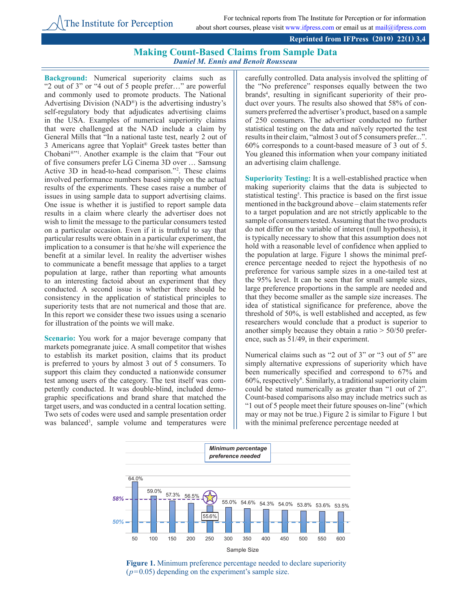## **Making Count-Based Claims from Sample Data** *Daniel M. Ennis and Benoît Rousseau*

**Background:** Numerical superiority claims such as "2 out of 3" or "4 out of 5 people prefer…" are powerful and commonly used to promote products. The National Advertising Division (NAD®) is the advertising industry's self-regulatory body that adjudicates advertising claims in the USA. Examples of numerical superiority claims that were challenged at the NAD include a claim by General Mills that "In a national taste test, nearly 2 out of 3 Americans agree that Yoplait® Greek tastes better than Chobani®"1 . Another example is the claim that "Four out of five consumers prefer LG Cinema 3D over ... Samsung Active 3D in head-to-head comparison."2 . These claims involved performance numbers based simply on the actual results of the experiments. These cases raise a number of issues in using sample data to support advertising claims. One issue is whether it is justified to report sample data results in a claim where clearly the advertiser does not wish to limit the message to the particular consumers tested on a particular occasion. Even if it is truthful to say that particular results were obtain in a particular experiment, the implication to a consumer is that he/she will experience the benefit at a similar level. In reality the advertiser wishes to communicate a benefit message that applies to a target population at large, rather than reporting what amounts to an interesting factoid about an experiment that they conducted. A second issue is whether there should be consistency in the application of statistical principles to superiority tests that are not numerical and those that are. In this report we consider these two issues using a scenario for illustration of the points we will make.

**Scenario:** You work for a major beverage company that markets pomegranate juice. A small competitor that wishes to establish its market position, claims that its product is preferred to yours by almost 3 out of 5 consumers. To support this claim they conducted a nationwide consumer test among users of the category. The test itself was competently conducted. It was double-blind, included demographic specifications and brand share that matched the target users, and was conducted in a central location setting. Two sets of codes were used and sample presentation order was balanced<sup>3</sup>, sample volume and temperatures were carefully controlled. Data analysis involved the splitting of the "No preference" responses equally between the two brands<sup>4</sup>, resulting in significant superiority of their product over yours. The results also showed that 58% of consumers preferred the advertiser's product, based on a sample of 250 consumers. The advertiser conducted no further statistical testing on the data and naïvely reported the test results in their claim, "almost 3 out of 5 consumers prefer...". 60% corresponds to a count-based measure of 3 out of 5. You gleaned this information when your company initiated an advertising claim challenge.

**Superiority Testing:** It is a well-established practice when making superiority claims that the data is subjected to statistical testing<sup>5</sup>. This practice is based on the first issue mentioned in the background above – claim statements refer to a target population and are not strictly applicable to the sample of consumers tested. Assuming that the two products do not differ on the variable of interest (null hypothesis), it is typically necessary to show that this assumption does not hold with a reasonable level of confidence when applied to the population at large. Figure 1 shows the minimal preference percentage needed to reject the hypothesis of no preference for various sample sizes in a one-tailed test at the 95% level. It can be seen that for small sample sizes, large preference proportions in the sample are needed and that they become smaller as the sample size increases. The idea of statistical significance for preference, above the threshold of 50%, is well established and accepted, as few researchers would conclude that a product is superior to another simply because they obtain a ratio > 50/50 preference, such as 51/49, in their experiment.

Numerical claims such as "2 out of 3" or "3 out of 5" are simply alternative expressions of superiority which have been numerically specified and correspond to 67% and 60%, respectively6 . Similarly, a traditional superiority claim could be stated numerically as greater than "1 out of 2". Count-based comparisons also may include metrics such as "1 out of 5 people meet their future spouses on-line" (which may or may not be true.) Figure 2 is similar to Figure 1 but with the minimal preference percentage needed at